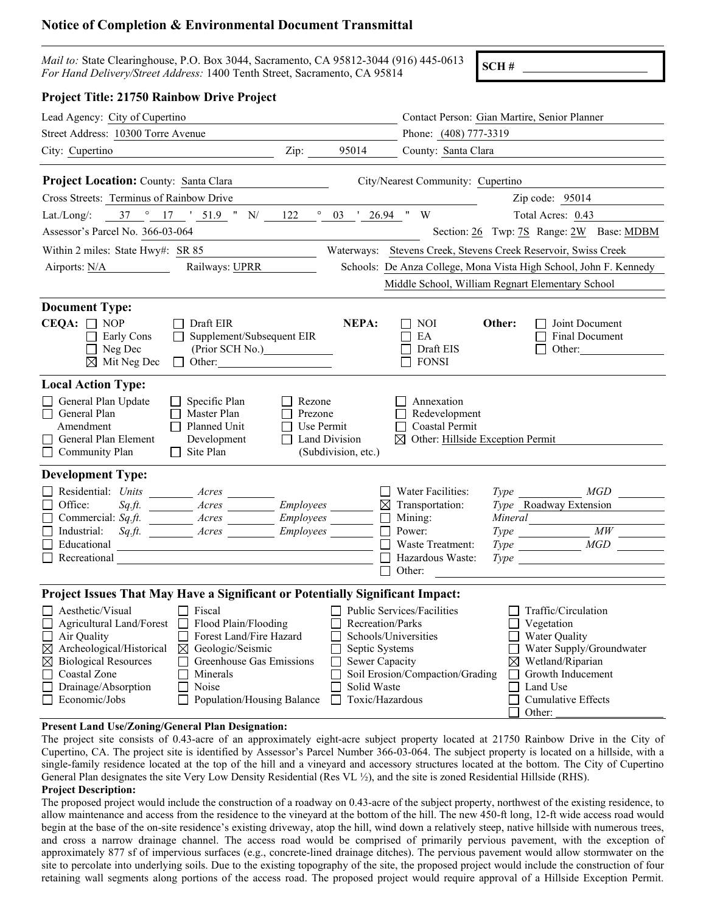# **Notice of Completion & Environmental Document Transmittal**

| <i>Mail to:</i> State Clearinghouse, P.O. Box 3044, Sacramento, CA 95812-3044 (916) 445-0613 SCH # |  |
|----------------------------------------------------------------------------------------------------|--|
| For Hand Delivery/Street Address: 1400 Tenth Street, Sacramento, CA 95814                          |  |

| <b>Project Title: 21750 Rainbow Drive Project</b>                                                                                                                                                                                                                                                                                                                                                                                                                                           |                                                                                                                                                                                                                                                                   |
|---------------------------------------------------------------------------------------------------------------------------------------------------------------------------------------------------------------------------------------------------------------------------------------------------------------------------------------------------------------------------------------------------------------------------------------------------------------------------------------------|-------------------------------------------------------------------------------------------------------------------------------------------------------------------------------------------------------------------------------------------------------------------|
| Lead Agency: City of Cupertino                                                                                                                                                                                                                                                                                                                                                                                                                                                              | Contact Person: Gian Martire, Senior Planner                                                                                                                                                                                                                      |
| Street Address: 10300 Torre Avenue                                                                                                                                                                                                                                                                                                                                                                                                                                                          | Phone: (408) 777-3319                                                                                                                                                                                                                                             |
| 95014<br>City: Cupertino<br>Zip: $\_\_$                                                                                                                                                                                                                                                                                                                                                                                                                                                     | County: Santa Clara                                                                                                                                                                                                                                               |
| <b>Project Location:</b> County: Santa Clara                                                                                                                                                                                                                                                                                                                                                                                                                                                | City/Nearest Community: Cupertino                                                                                                                                                                                                                                 |
| Cross Streets: Terminus of Rainbow Drive                                                                                                                                                                                                                                                                                                                                                                                                                                                    | Zip code: $95014$                                                                                                                                                                                                                                                 |
| $^{\circ}$ 03 ' 26.94 " W<br>Lat./Long/: $37 \degree 17 \degree 51.9 \degree N = 122$                                                                                                                                                                                                                                                                                                                                                                                                       | Total Acres: 0.43                                                                                                                                                                                                                                                 |
| Assessor's Parcel No. 366-03-064                                                                                                                                                                                                                                                                                                                                                                                                                                                            | Section: 26 Twp: 7S Range: 2W Base: MDBM                                                                                                                                                                                                                          |
| Within 2 miles: State Hwy#: SR 85                                                                                                                                                                                                                                                                                                                                                                                                                                                           | Waterways: Stevens Creek, Stevens Creek Reservoir, Swiss Creek                                                                                                                                                                                                    |
| Railways: UPRR<br>Airports: $N/A$                                                                                                                                                                                                                                                                                                                                                                                                                                                           | Schools: De Anza College, Mona Vista High School, John F. Kennedy                                                                                                                                                                                                 |
|                                                                                                                                                                                                                                                                                                                                                                                                                                                                                             | Middle School, William Regnart Elementary School                                                                                                                                                                                                                  |
| <b>Document Type:</b><br>$CEQA: \Box NOP$<br>NEPA:<br>$\Box$ Draft EIR<br>$\Box$ Supplement/Subsequent EIR<br>$\Box$ Early Cons<br>$\Box$ Neg Dec<br>(Prior SCH No.)<br>$\boxtimes$ Mit Neg Dec<br>$\Box$ Other:<br><b>Local Action Type:</b><br>General Plan Update<br>Specific Plan<br>Rezone<br>Master Plan<br>General Plan<br>Prezone                                                                                                                                                   | Other:<br>$\Box$ NOI<br>$\Box$ Joint Document<br>Final Document<br>EA<br>Draft EIS<br>Other:<br><b>FONSI</b><br>Annexation<br>Redevelopment                                                                                                                       |
| Amendment<br>Planned Unit<br>Use Permit<br>Land Division<br>$\Box$ General Plan Element<br>Development<br>Site Plan<br>Community Plan<br>(Subdivision, etc.)                                                                                                                                                                                                                                                                                                                                | Coastal Permit<br>$\boxtimes$ Other: Hillside Exception Permit                                                                                                                                                                                                    |
| <b>Development Type:</b>                                                                                                                                                                                                                                                                                                                                                                                                                                                                    |                                                                                                                                                                                                                                                                   |
| Residential: Units ________ Acres<br>Sq.ft. ____________ Acres ___________ Employees _<br>$\Box$ Office:<br>$\Box$<br>$\Box$ Industrial:<br>Sq.ft. Mores Acres Acres Acres<br>$\Box$ Educational<br><u> 1980 - Johann Barn, mars ann an t-Amhain Aonaichte ann an t-Amhain Aonaichte ann an t-Amhain Aonaichte ann an</u><br>$\Box$ Recreational<br>$\blacksquare$<br>$\blacksquare$                                                                                                        | Water Facilities:<br>MGD<br>$Type \qquad \qquad$<br>Type Roadway Extension<br>$\boxtimes$ Transportation:<br>Mining:<br>$Type \t\t\t MW$<br>Power:<br>$Type$ $MGD$<br>Waste Treatment:<br>Hazardous Waste:<br>Other:                                              |
| Project Issues That May Have a Significant or Potentially Significant Impact:                                                                                                                                                                                                                                                                                                                                                                                                               |                                                                                                                                                                                                                                                                   |
| Aesthetic/Visual<br>Fiscal<br>Agricultural Land/Forest<br>Flood Plain/Flooding<br>Recreation/Parks<br>Forest Land/Fire Hazard<br>Air Quality<br>Geologic/Seismic<br>Archeological/Historical<br>Septic Systems<br>$\boxtimes$<br>$\boxtimes$<br><b>Biological Resources</b><br>Greenhouse Gas Emissions<br>Sewer Capacity<br>⊠<br>Coastal Zone<br>Minerals<br>Drainage/Absorption<br>Noise<br>Solid Waste<br>Toxic/Hazardous<br>Economic/Jobs<br>Population/Housing Balance<br>$\mathbf{L}$ | Public Services/Facilities<br>Traffic/Circulation<br>Vegetation<br>Schools/Universities<br>Water Quality<br>Water Supply/Groundwater<br>Wetland/Riparian<br>⊠<br>Soil Erosion/Compaction/Grading<br>Growth Inducement<br>Land Use<br>Cumulative Effects<br>Other: |

### **Present Land Use/Zoning/General Plan Designation:**

The project site consists of 0.43-acre of an approximately eight-acre subject property located at 21750 Rainbow Drive in the City of Cupertino, CA. The project site is identified by Assessor's Parcel Number 366-03-064. The subject property is located on a hillside, with a single-family residence located at the top of the hill and a vineyard and accessory structures located at the bottom. The City of Cupertino General Plan designates the site Very Low Density Residential (Res VL ½), and the site is zoned Residential Hillside (RHS).

## **Project Description:**

The proposed project would include the construction of a roadway on 0.43-acre of the subject property, northwest of the existing residence, to allow maintenance and access from the residence to the vineyard at the bottom of the hill. The new 450-ft long, 12-ft wide access road would begin at the base of the on-site residence's existing driveway, atop the hill, wind down a relatively steep, native hillside with numerous trees, and cross a narrow drainage channel. The access road would be comprised of primarily pervious pavement, with the exception of approximately 877 sf of impervious surfaces (e.g., concrete-lined drainage ditches). The pervious pavement would allow stormwater on the site to percolate into underlying soils. Due to the existing topography of the site, the proposed project would include the construction of four retaining wall segments along portions of the access road. The proposed project would require approval of a Hillside Exception Permit.